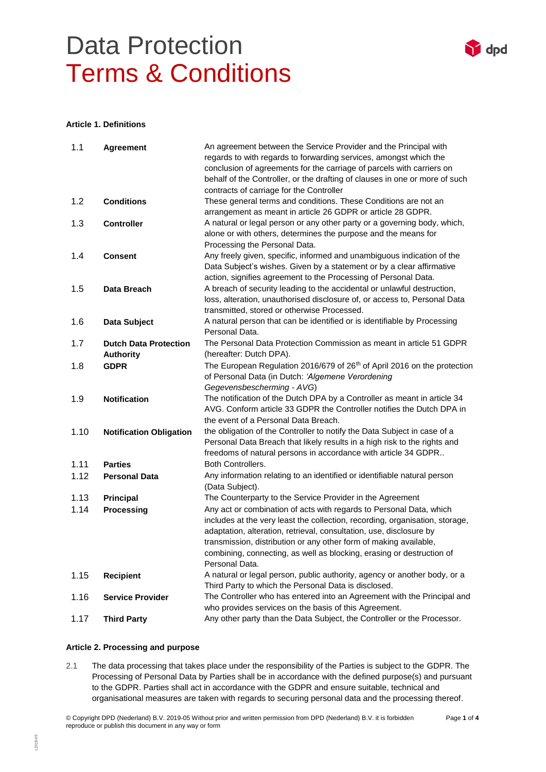

#### **Article 1. Definitions**

| 1.1  | Agreement                                        | An agreement between the Service Provider and the Principal with<br>regards to with regards to forwarding services, amongst which the<br>conclusion of agreements for the carriage of parcels with carriers on                                                                                                                                                                             |
|------|--------------------------------------------------|--------------------------------------------------------------------------------------------------------------------------------------------------------------------------------------------------------------------------------------------------------------------------------------------------------------------------------------------------------------------------------------------|
|      |                                                  | behalf of the Controller, or the drafting of clauses in one or more of such<br>contracts of carriage for the Controller                                                                                                                                                                                                                                                                    |
| 1.2  | <b>Conditions</b>                                | These general terms and conditions. These Conditions are not an<br>arrangement as meant in article 26 GDPR or article 28 GDPR.                                                                                                                                                                                                                                                             |
| 1.3  | <b>Controller</b>                                | A natural or legal person or any other party or a governing body, which,<br>alone or with others, determines the purpose and the means for<br>Processing the Personal Data.                                                                                                                                                                                                                |
| 1.4  | <b>Consent</b>                                   | Any freely given, specific, informed and unambiguous indication of the<br>Data Subject's wishes. Given by a statement or by a clear affirmative<br>action, signifies agreement to the Processing of Personal Data.                                                                                                                                                                         |
| 1.5  | Data Breach                                      | A breach of security leading to the accidental or unlawful destruction,<br>loss, alteration, unauthorised disclosure of, or access to, Personal Data<br>transmitted, stored or otherwise Processed.                                                                                                                                                                                        |
| 1.6  | Data Subject                                     | A natural person that can be identified or is identifiable by Processing<br>Personal Data.                                                                                                                                                                                                                                                                                                 |
| 1.7  | <b>Dutch Data Protection</b><br><b>Authority</b> | The Personal Data Protection Commission as meant in article 51 GDPR<br>(hereafter: Dutch DPA).                                                                                                                                                                                                                                                                                             |
| 1.8  | <b>GDPR</b>                                      | The European Regulation 2016/679 of 26 <sup>th</sup> of April 2016 on the protection<br>of Personal Data (in Dutch: 'Algemene Verordening<br>Gegevensbescherming - AVG)                                                                                                                                                                                                                    |
| 1.9  | <b>Notification</b>                              | The notification of the Dutch DPA by a Controller as meant in article 34<br>AVG. Conform article 33 GDPR the Controller notifies the Dutch DPA in<br>the event of a Personal Data Breach.                                                                                                                                                                                                  |
| 1.10 | <b>Notification Obligation</b>                   | the obligation of the Controller to notify the Data Subject in case of a<br>Personal Data Breach that likely results in a high risk to the rights and<br>freedoms of natural persons in accordance with article 34 GDPR                                                                                                                                                                    |
| 1.11 | <b>Parties</b>                                   | <b>Both Controllers.</b>                                                                                                                                                                                                                                                                                                                                                                   |
| 1.12 | <b>Personal Data</b>                             | Any information relating to an identified or identifiable natural person<br>(Data Subject).                                                                                                                                                                                                                                                                                                |
| 1.13 | <b>Principal</b>                                 | The Counterparty to the Service Provider in the Agreement                                                                                                                                                                                                                                                                                                                                  |
| 1.14 | <b>Processing</b>                                | Any act or combination of acts with regards to Personal Data, which<br>includes at the very least the collection, recording, organisation, storage,<br>adaptation, alteration, retrieval, consultation, use, disclosure by<br>transmission, distribution or any other form of making available,<br>combining, connecting, as well as blocking, erasing or destruction of<br>Personal Data. |
| 1.15 | <b>Recipient</b>                                 | A natural or legal person, public authority, agency or another body, or a<br>Third Party to which the Personal Data is disclosed.                                                                                                                                                                                                                                                          |
| 1.16 | <b>Service Provider</b>                          | The Controller who has entered into an Agreement with the Principal and<br>who provides services on the basis of this Agreement.                                                                                                                                                                                                                                                           |
| 1.17 | <b>Third Party</b>                               | Any other party than the Data Subject, the Controller or the Processor.                                                                                                                                                                                                                                                                                                                    |

### **Article 2. Processing and purpose**

2.1 The data processing that takes place under the responsibility of the Parties is subject to the GDPR. The Processing of Personal Data by Parties shall be in accordance with the defined purpose(s) and pursuant to the GDPR. Parties shall act in accordance with the GDPR and ensure suitable, technical and organisational measures are taken with regards to securing personal data and the processing thereof.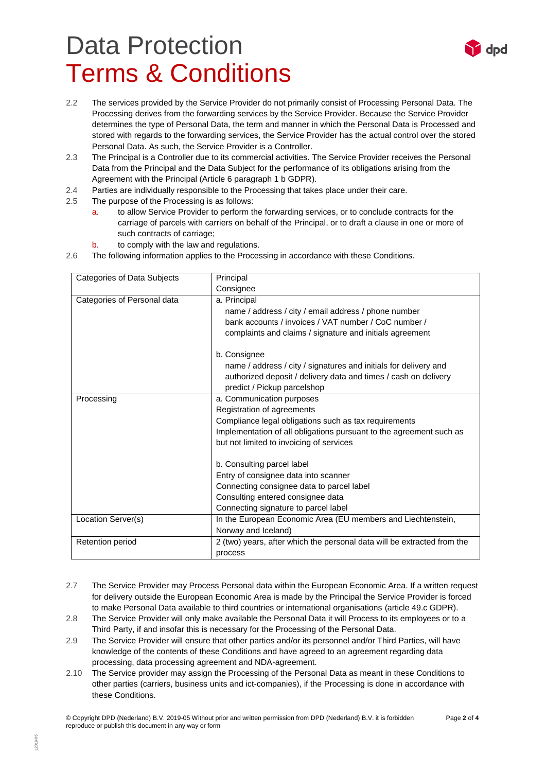

- 2.2 The services provided by the Service Provider do not primarily consist of Processing Personal Data. The Processing derives from the forwarding services by the Service Provider. Because the Service Provider determines the type of Personal Data, the term and manner in which the Personal Data is Processed and stored with regards to the forwarding services, the Service Provider has the actual control over the stored Personal Data. As such, the Service Provider is a Controller.
- 2.3 The Principal is a Controller due to its commercial activities. The Service Provider receives the Personal Data from the Principal and the Data Subject for the performance of its obligations arising from the Agreement with the Principal (Article 6 paragraph 1 b GDPR).
- 2.4 Parties are individually responsible to the Processing that takes place under their care.
- 2.5 The purpose of the Processing is as follows:
	- a. to allow Service Provider to perform the forwarding services, or to conclude contracts for the carriage of parcels with carriers on behalf of the Principal, or to draft a clause in one or more of such contracts of carriage;
	- b. to comply with the law and regulations.
- 2.6 The following information applies to the Processing in accordance with these Conditions.

| Categories of Data Subjects | Principal                                                               |
|-----------------------------|-------------------------------------------------------------------------|
|                             | Consignee                                                               |
| Categories of Personal data | a. Principal                                                            |
|                             | name / address / city / email address / phone number                    |
|                             | bank accounts / invoices / VAT number / CoC number /                    |
|                             | complaints and claims / signature and initials agreement                |
|                             | b. Consignee                                                            |
|                             | name / address / city / signatures and initials for delivery and        |
|                             | authorized deposit / delivery data and times / cash on delivery         |
|                             | predict / Pickup parcelshop                                             |
| Processing                  | a. Communication purposes                                               |
|                             | Registration of agreements                                              |
|                             | Compliance legal obligations such as tax requirements                   |
|                             | Implementation of all obligations pursuant to the agreement such as     |
|                             | but not limited to invoicing of services                                |
|                             | b. Consulting parcel label                                              |
|                             | Entry of consignee data into scanner                                    |
|                             | Connecting consignee data to parcel label                               |
|                             | Consulting entered consignee data                                       |
|                             | Connecting signature to parcel label                                    |
| Location Server(s)          | In the European Economic Area (EU members and Liechtenstein,            |
|                             | Norway and Iceland)                                                     |
| Retention period            | 2 (two) years, after which the personal data will be extracted from the |
|                             | process                                                                 |

- 2.7 The Service Provider may Process Personal data within the European Economic Area. If a written request for delivery outside the European Economic Area is made by the Principal the Service Provider is forced to make Personal Data available to third countries or international organisations (article 49.c GDPR).
- 2.8 The Service Provider will only make available the Personal Data it will Process to its employees or to a Third Party, if and insofar this is necessary for the Processing of the Personal Data.
- 2.9 The Service Provider will ensure that other parties and/or its personnel and/or Third Parties, will have knowledge of the contents of these Conditions and have agreed to an agreement regarding data processing, data processing agreement and NDA-agreement.
- 2.10 The Service provider may assign the Processing of the Personal Data as meant in these Conditions to other parties (carriers, business units and ict-companies), if the Processing is done in accordance with these Conditions.

© Copyright DPD (Nederland) B.V. 2019-05 Without prior and written permission from DPD (Nederland) B.V. it is forbidden Page **2** of **4** reproduce or publish this document in any way or form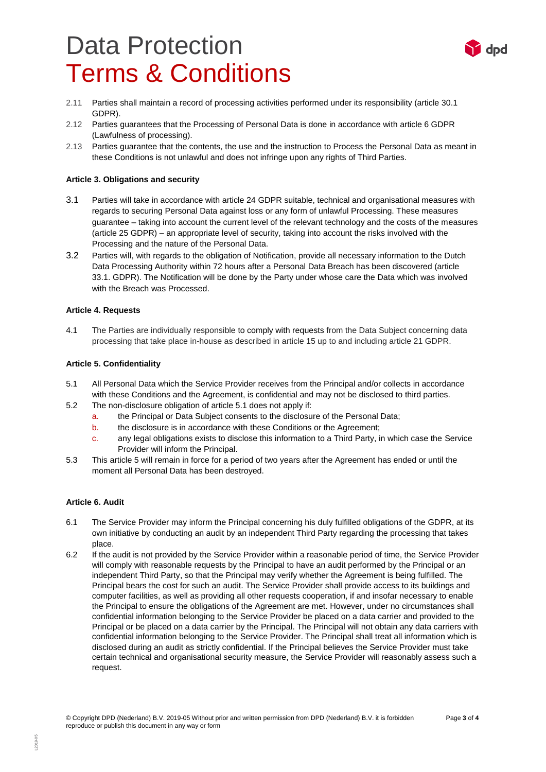

- 2.11 Parties shall maintain a record of processing activities performed under its responsibility (article 30.1 GDPR).
- 2.12 Parties guarantees that the Processing of Personal Data is done in accordance with article 6 GDPR (Lawfulness of processing).
- 2.13 Parties guarantee that the contents, the use and the instruction to Process the Personal Data as meant in these Conditions is not unlawful and does not infringe upon any rights of Third Parties.

### **Article 3. Obligations and security**

- 3.1 Parties will take in accordance with article 24 GDPR suitable, technical and organisational measures with regards to securing Personal Data against loss or any form of unlawful Processing. These measures guarantee – taking into account the current level of the relevant technology and the costs of the measures (article 25 GDPR) – an appropriate level of security, taking into account the risks involved with the Processing and the nature of the Personal Data.
- 3.2 Parties will, with regards to the obligation of Notification, provide all necessary information to the Dutch Data Processing Authority within 72 hours after a Personal Data Breach has been discovered (article 33.1. GDPR). The Notification will be done by the Party under whose care the Data which was involved with the Breach was Processed.

### **Article 4. Requests**

4.1 The Parties are individually responsible to comply with requests from the Data Subject concerning data processing that take place in-house as described in article 15 up to and including article 21 GDPR.

### **Article 5. Confidentiality**

- 5.1 All Personal Data which the Service Provider receives from the Principal and/or collects in accordance with these Conditions and the Agreement, is confidential and may not be disclosed to third parties.
- 5.2 The non-disclosure obligation of article 5.1 does not apply if:
	- a. the Principal or Data Subject consents to the disclosure of the Personal Data;
	- b. the disclosure is in accordance with these Conditions or the Agreement;
	- c. any legal obligations exists to disclose this information to a Third Party, in which case the Service Provider will inform the Principal.
- 5.3 This article 5 will remain in force for a period of two years after the Agreement has ended or until the moment all Personal Data has been destroyed.

#### **Article 6. Audit**

- 6.1 The Service Provider may inform the Principal concerning his duly fulfilled obligations of the GDPR, at its own initiative by conducting an audit by an independent Third Party regarding the processing that takes place.
- 6.2 If the audit is not provided by the Service Provider within a reasonable period of time, the Service Provider will comply with reasonable requests by the Principal to have an audit performed by the Principal or an independent Third Party, so that the Principal may verify whether the Agreement is being fulfilled. The Principal bears the cost for such an audit. The Service Provider shall provide access to its buildings and computer facilities, as well as providing all other requests cooperation, if and insofar necessary to enable the Principal to ensure the obligations of the Agreement are met. However, under no circumstances shall confidential information belonging to the Service Provider be placed on a data carrier and provided to the Principal or be placed on a data carrier by the Principal. The Principal will not obtain any data carriers with confidential information belonging to the Service Provider. The Principal shall treat all information which is disclosed during an audit as strictly confidential. If the Principal believes the Service Provider must take certain technical and organisational security measure, the Service Provider will reasonably assess such a request.